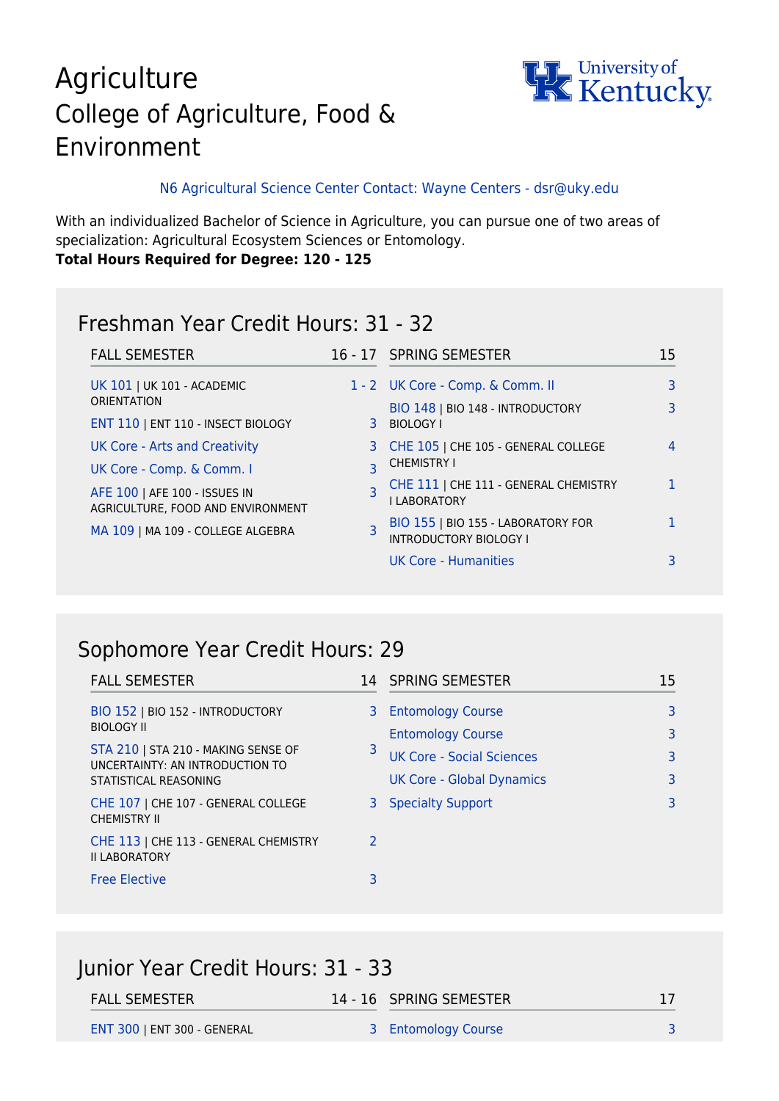# Agriculture College of Agriculture, Food & Environment



#### N6 Agricultural Science Center Contact: Wayne Centers - dsr@uky.edu

With an individualized Bachelor of Science in Agriculture, you can pursue one of two areas of specialization: Agricultural Ecosystem Sciences or Entomology. **Total Hours Required for Degree: 120 - 125**

#### Freshman Year Credit Hours: 31 - 32

| <b>FALL SEMESTER</b>                                               |                         | 16 - 17 SPRING SEMESTER                                             | 15 |
|--------------------------------------------------------------------|-------------------------|---------------------------------------------------------------------|----|
| UK 101   UK 101 - ACADEMIC                                         |                         | 1 - 2 UK Core - Comp. & Comm. II                                    | 3  |
| <b>ORIENTATION</b>                                                 |                         | BIO 148   BIO 148 - INTRODUCTORY                                    |    |
| ENT 110   ENT 110 - INSECT BIOLOGY                                 | 3                       | <b>BIOLOGY I</b>                                                    |    |
| UK Core - Arts and Creativity                                      |                         | 3 CHE 105   CHE 105 - GENERAL COLLEGE                               | 4  |
| UK Core - Comp. & Comm. I                                          | $\overline{\mathbf{z}}$ | <b>CHEMISTRY I</b>                                                  |    |
| AFE 100   AFE 100 - ISSUES IN<br>AGRICULTURE, FOOD AND ENVIRONMENT |                         | CHE 111   CHE 111 - GENERAL CHEMISTRY<br><b>I LABORATORY</b>        |    |
| MA 109   MA 109 - COLLEGE ALGEBRA                                  | $\overline{\mathsf{R}}$ | BIO 155   BIO 155 - LABORATORY FOR<br><b>INTRODUCTORY BIOLOGY I</b> |    |
|                                                                    |                         | UK Core - Humanities                                                |    |

## Sophomore Year Credit Hours: 29

| <b>FALL SEMESTER</b>                                                   |               | 14 SPRING SEMESTER               | 15 |
|------------------------------------------------------------------------|---------------|----------------------------------|----|
| BIO 152   BIO 152 - INTRODUCTORY<br><b>BIOLOGY II</b>                  | 3             | <b>Entomology Course</b>         | 3  |
|                                                                        |               | <b>Entomology Course</b>         | 3  |
| STA 210   STA 210 - MAKING SENSE OF<br>UNCERTAINTY: AN INTRODUCTION TO | 3             | <b>UK Core - Social Sciences</b> | 3  |
| STATISTICAL REASONING                                                  |               | <b>UK Core - Global Dynamics</b> | 3  |
| CHE 107   CHE 107 - GENERAL COLLEGE<br><b>CHEMISTRY II</b>             | 3             | <b>Specialty Support</b>         | 3  |
| CHE 113   CHE 113 - GENERAL CHEMISTRY<br><b>II LABORATORY</b>          | $\mathcal{P}$ |                                  |    |
| <b>Free Elective</b>                                                   | 3             |                                  |    |

| Junior Year Credit Hours: 31 - 33 |  |                         |    |
|-----------------------------------|--|-------------------------|----|
| <b>FALL SEMESTER</b>              |  | 14 - 16 SPRING SEMESTER | 17 |
| ENT 300   ENT 300 - GENERAL       |  | 3 Entomology Course     |    |